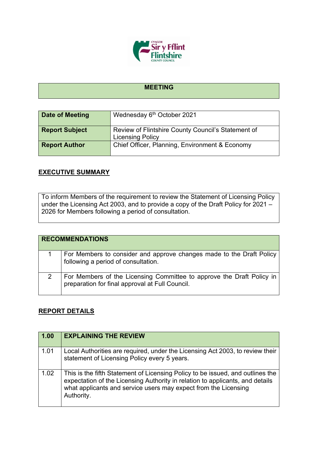

## **MEETING**

| Date of Meeting       | Wednesday 6th October 2021                                                    |
|-----------------------|-------------------------------------------------------------------------------|
| <b>Report Subject</b> | Review of Flintshire County Council's Statement of<br><b>Licensing Policy</b> |
| <b>Report Author</b>  | Chief Officer, Planning, Environment & Economy                                |

## **EXECUTIVE SUMMARY**

To inform Members of the requirement to review the Statement of Licensing Policy under the Licensing Act 2003, and to provide a copy of the Draft Policy for 2021 – 2026 for Members following a period of consultation.

| <b>RECOMMENDATIONS</b> |                                                                                                                          |  |
|------------------------|--------------------------------------------------------------------------------------------------------------------------|--|
|                        | For Members to consider and approve changes made to the Draft Policy<br>following a period of consultation.              |  |
|                        | For Members of the Licensing Committee to approve the Draft Policy in<br>preparation for final approval at Full Council. |  |

## **REPORT DETAILS**

| 1.00 | <b>EXPLAINING THE REVIEW</b>                                                                                                                                                                                                                     |
|------|--------------------------------------------------------------------------------------------------------------------------------------------------------------------------------------------------------------------------------------------------|
| 1.01 | Local Authorities are required, under the Licensing Act 2003, to review their<br>statement of Licensing Policy every 5 years.                                                                                                                    |
| 1.02 | This is the fifth Statement of Licensing Policy to be issued, and outlines the<br>expectation of the Licensing Authority in relation to applicants, and details<br>what applicants and service users may expect from the Licensing<br>Authority. |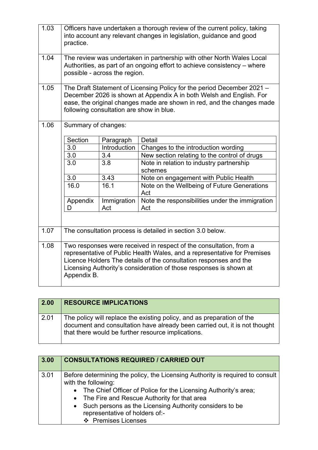| 1.03 | practice.           |                                          | Officers have undertaken a thorough review of the current policy, taking<br>into account any relevant changes in legislation, guidance and good                                                                                                                                           |
|------|---------------------|------------------------------------------|-------------------------------------------------------------------------------------------------------------------------------------------------------------------------------------------------------------------------------------------------------------------------------------------|
| 1.04 |                     | possible - across the region.            | The review was undertaken in partnership with other North Wales Local<br>Authorities, as part of an ongoing effort to achieve consistency – where                                                                                                                                         |
| 1.05 |                     | following consultation are show in blue. | The Draft Statement of Licensing Policy for the period December 2021 -<br>December 2026 is shown at Appendix A in both Welsh and English. For<br>ease, the original changes made are shown in red, and the changes made                                                                   |
| 1.06 | Summary of changes: |                                          |                                                                                                                                                                                                                                                                                           |
|      | Section             | Paragraph                                | <b>Detail</b>                                                                                                                                                                                                                                                                             |
|      | 3.0                 | Introduction                             | Changes to the introduction wording                                                                                                                                                                                                                                                       |
|      | 3.0                 | 3.4                                      | New section relating to the control of drugs                                                                                                                                                                                                                                              |
|      | 3.0                 | 3.8                                      | Note in relation to industry partnership<br>schemes                                                                                                                                                                                                                                       |
|      | 3.0                 | 3.43                                     | Note on engagement with Public Health                                                                                                                                                                                                                                                     |
|      | 16.0                | 16.1                                     | Note on the Wellbeing of Future Generations<br>Act                                                                                                                                                                                                                                        |
|      | Appendix<br>D       | Immigration<br>Act                       | Note the responsibilities under the immigration<br>Act                                                                                                                                                                                                                                    |
|      |                     |                                          |                                                                                                                                                                                                                                                                                           |
| 1.07 |                     |                                          | The consultation process is detailed in section 3.0 below.                                                                                                                                                                                                                                |
| 1.08 | Appendix B.         |                                          | Two responses were received in respect of the consultation, from a<br>representative of Public Health Wales, and a representative for Premises<br>Licence Holders The details of the consultation responses and the<br>Licensing Authority's consideration of those responses is shown at |

| 2.00         | <b>RESOURCE IMPLICATIONS</b>                                                                                                                                                                               |
|--------------|------------------------------------------------------------------------------------------------------------------------------------------------------------------------------------------------------------|
| $\vert$ 2.01 | The policy will replace the existing policy, and as preparation of the<br>document and consultation have already been carried out, it is not thought<br>that there would be further resource implications. |

| 3.00 | <b>CONSULTATIONS REQUIRED / CARRIED OUT</b>                                                                                                                                                                                                                                                                                                      |
|------|--------------------------------------------------------------------------------------------------------------------------------------------------------------------------------------------------------------------------------------------------------------------------------------------------------------------------------------------------|
| 3.01 | Before determining the policy, the Licensing Authority is required to consult<br>with the following:<br>• The Chief Officer of Police for the Licensing Authority's area;<br>• The Fire and Rescue Authority for that area<br>• Such persons as the Licensing Authority considers to be<br>representative of holders of:-<br>❖ Premises Licenses |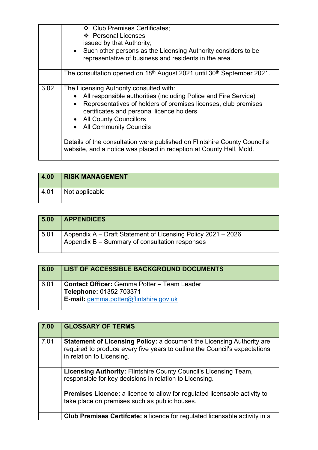|      | ❖ Club Premises Certificates:                                                |
|------|------------------------------------------------------------------------------|
|      | ❖ Personal Licenses                                                          |
|      | issued by that Authority;                                                    |
|      |                                                                              |
|      | • Such other persons as the Licensing Authority considers to be              |
|      | representative of business and residents in the area.                        |
|      |                                                                              |
|      | The consultation opened on 18th August 2021 until 30th September 2021.       |
|      |                                                                              |
| 3.02 | The Licensing Authority consulted with:                                      |
|      |                                                                              |
|      | All responsible authorities (including Police and Fire Service)<br>$\bullet$ |
|      | Representatives of holders of premises licenses, club premises<br>$\bullet$  |
|      | certificates and personal licence holders                                    |
|      | • All County Councillors                                                     |
|      |                                                                              |
|      | • All Community Councils                                                     |
|      |                                                                              |
|      | Details of the consultation were published on Flintshire County Council's    |
|      | website, and a notice was placed in reception at County Hall, Mold.          |
|      |                                                                              |
|      |                                                                              |

| 4.00 | <b>RISK MANAGEMENT</b> |
|------|------------------------|
| 4.01 | Not applicable         |

| 5.00 | <b>APPENDICES</b>                                                                                              |
|------|----------------------------------------------------------------------------------------------------------------|
| 5.01 | Appendix A – Draft Statement of Licensing Policy 2021 – 2026<br>Appendix B - Summary of consultation responses |

| 6.00 | <b>LIST OF ACCESSIBLE BACKGROUND DOCUMENTS</b>                                                                                 |
|------|--------------------------------------------------------------------------------------------------------------------------------|
| 6.01 | <b>Contact Officer: Gemma Potter - Team Leader</b><br>Telephone: 01352 703371<br><b>E-mail:</b> gemma.potter@flintshire.gov.uk |

| 7.00 | <b>GLOSSARY OF TERMS</b>                                                                                                                                                                |
|------|-----------------------------------------------------------------------------------------------------------------------------------------------------------------------------------------|
| 7.01 | <b>Statement of Licensing Policy: a document the Licensing Authority are</b><br>required to produce every five years to outline the Council's expectations<br>in relation to Licensing. |
|      | <b>Licensing Authority: Flintshire County Council's Licensing Team,</b><br>responsible for key decisions in relation to Licensing.                                                      |
|      | <b>Premises Licence:</b> a licence to allow for regulated licensable activity to<br>take place on premises such as public houses.                                                       |
|      | <b>Club Premises Certifcate:</b> a licence for regulated licensable activity in a                                                                                                       |